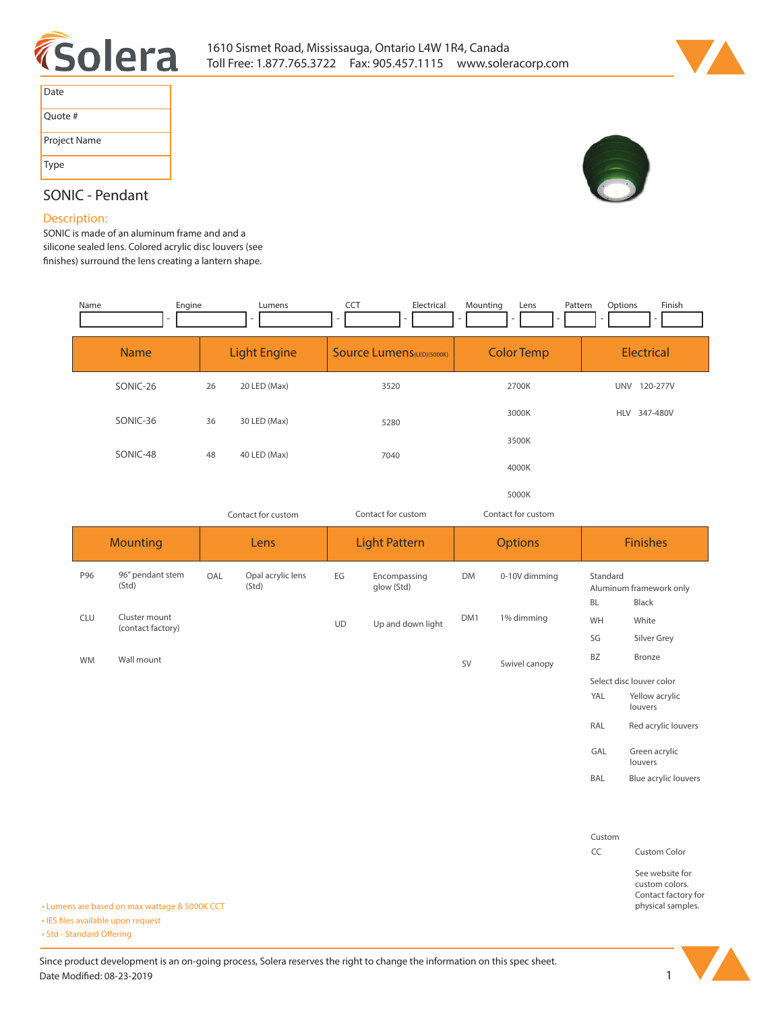



| Date         |
|--------------|
| Quote #      |
| Project Name |
| <b>Type</b>  |

# **SONIC - Pendant**

#### **Description:**

**SONIC is made of an aluminum frame and and a silicone sealed lens. Colored acrylic disc louvers (see nishes) surround the lens creating a lantern shape.**

| Engine<br>Name |                     | Lumens             | Finish<br><b>CCT</b><br>Electrical<br>Mounting<br>Options<br>Pattern<br>Lens<br>$\overline{\phantom{a}}$ |                    |                        |  |
|----------------|---------------------|--------------------|----------------------------------------------------------------------------------------------------------|--------------------|------------------------|--|
| <b>Name</b>    | <b>Light Engine</b> |                    | <b>Source Lumens</b> (LED)(5000K)                                                                        | <b>Color Temp</b>  | <b>Electrical</b>      |  |
| SONIC-26       | 26                  | 20 LED (Max)       | 3520                                                                                                     | 2700K              | UNV 120-277V           |  |
| SONIC-36       | 36                  | 30 LED (Max)       | 5280                                                                                                     | 3000K              | 347-480V<br><b>HLV</b> |  |
| SONIC-48       | 48                  | 40 LED (Max)       | 7040                                                                                                     | 3500K              |                        |  |
|                |                     |                    |                                                                                                          | 4000K              |                        |  |
|                |                     |                    |                                                                                                          | 5000K              |                        |  |
|                |                     | Contact for custom | Contact for custom                                                                                       | Contact for custom |                        |  |

| <b>Mounting</b> |            | Lens                                     |     | <b>Light Pattern</b>       |           | <b>Options</b>             |           | <b>Finishes</b> |                          |                                                                               |
|-----------------|------------|------------------------------------------|-----|----------------------------|-----------|----------------------------|-----------|-----------------|--------------------------|-------------------------------------------------------------------------------|
|                 | P96        | 96" pendant stem<br>(Std)                | OAL | Opal acrylic lens<br>(Std) | EG        | Encompassing<br>glow (Std) | <b>DM</b> | 0-10V dimming   | Standard<br><b>BL</b>    | Aluminum framework only<br><b>Black</b>                                       |
|                 | <b>CLU</b> | Cluster mount<br>(contact factory)       |     |                            | <b>UD</b> | Up and down light          | DM1       | 1% dimming      | WH                       | White                                                                         |
|                 |            |                                          |     |                            |           |                            |           |                 | SG                       | Silver Grey                                                                   |
|                 | <b>WM</b>  | Wall mount                               |     |                            |           |                            | SV        | Swivel canopy   | BZ                       | Bronze                                                                        |
|                 |            |                                          |     |                            |           |                            |           |                 | Select disc louver color |                                                                               |
|                 |            |                                          |     |                            |           |                            |           |                 | YAL                      | Yellow acrylic<br>louvers                                                     |
|                 |            |                                          |     |                            |           |                            |           |                 | RAL                      | Red acrylic louvers                                                           |
|                 |            |                                          |     |                            |           |                            |           |                 | GAL                      | Green acrylic<br>louvers                                                      |
|                 |            |                                          |     |                            |           |                            |           |                 | BAL                      | Blue acrylic louvers                                                          |
|                 |            |                                          |     |                            |           |                            |           |                 |                          |                                                                               |
|                 |            |                                          |     |                            |           |                            |           |                 | Custom                   |                                                                               |
|                 |            |                                          |     |                            |           |                            |           |                 | CC                       | <b>Custom Color</b>                                                           |
|                 |            | ens are based on max wattage & 5000K CCT |     |                            |           |                            |           |                 |                          | See website for<br>custom colors.<br>Contact factory for<br>physical samples. |

**• Lumens are based on max wattage & 5000K CCT**

**• IES files available upon request** 

• Std - Standard Offering

Since product development is an on-going process, Solera reserves the right to change the information on this spec sheet. **Date Modified: 08-23-2019** 1